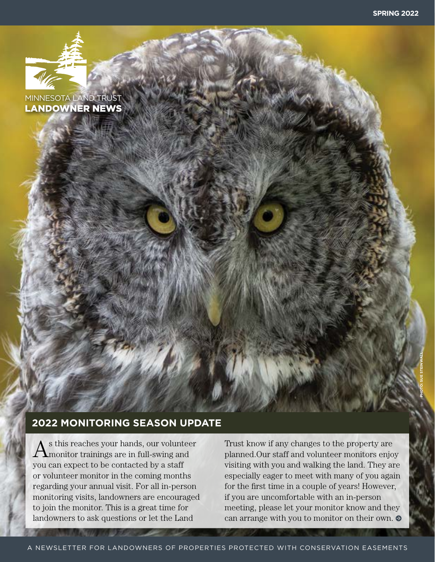**PHOTO: SUE STEINWALL**



MINNESOTA LAND TRUST LANDOWNER NEWS

## **2022 MONITORING SEASON UPDATE**

 $A^{\text{s}}$  this reaches your hands, our volunteer monitor trainings are in full-swing and you can expect to be contacted by a staff or volunteer monitor in the coming months regarding your annual visit. For all in-person monitoring visits, landowners are encouraged to join the monitor. This is a great time for landowners to ask questions or let the Land

Trust know if any changes to the property are planned.Our staff and volunteer monitors enjoy visiting with you and walking the land. They are especially eager to meet with many of you again for the first time in a couple of years! However, if you are uncomfortable with an in-person meeting, please let your monitor know and they can arrange with you to monitor on their own.  $\bullet$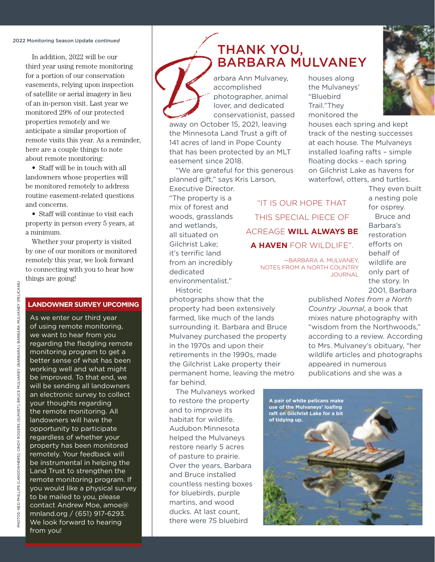#### 2022 Monitoring Season Update *continued*

In addition, 2022 will be our third year using remote monitoring for a portion of our conservation easements, relying upon inspection of satellite or aerial imagery in lieu of an in-person visit. Last year we monitored 29% of our protected properties remotely and we anticipate a similar proportion of remote visits this year. As a reminder, here are a couple things to note about remote monitoring:

• Staff will be in touch with all landowners whose properties will be monitored remotely to address routine easement-related questions and concerns.

• Staff will continue to visit each property in person every 5 years, at a minimum.

Whether your property is visited by one of our monitors or monitored remotely this year, we look forward to connecting with you to hear how things are going!

#### **LANDOWNER SURVEY UPCOMING**

As we enter our third year of using remote monitoring, we want to hear from you regarding the fledgling remote monitoring program to get a better sense of what has been working well and what might be improved. To that end, we will be sending all landowners an electronic survey to collect your thoughts regarding the remote monitoring. All landowners will have the opportunity to participate regardless of whether your property has been monitored remotely. Your feedback will be instrumental in helping the Land Trust to strengthen the remote monitoring program. If you would like a physical survey to be mailed to you, please contact Andrew Moe, amoe@ mnland.org / (651) 917-6293. We look forward to hearing from you!

# THANK YOU,<br>BARBARA MULVANEY

arbara Ann Mulvaney, accomplished photographer, animal lover, and dedicated conservationist, passed BARBARA MULVANEY<br>
arbara Ann Mulvaney, houses along<br>
accomplished the Mulvaneys'<br>
photographer, animal "Bluebird<br>
lover, and dedicated Trail."They<br>
conservationist, passed monitored the<br>
away on October 15, 2021, leaving h

away on October 15, 2021, leaving the Minnesota Land Trust a gift of 141 acres of land in Pope County that has been protected by an MLT easement since 2018.

"We are grateful for this generous planned gift," says Kris Larson, Executive Director.

"The property is a mix of forest and woods, grasslands and wetlands, all situated on Gilchrist Lake; it's terrific land from an incredibly dedicated environmentalist."

Historic

photographs show that the property had been extensively farmed, like much of the lands surrounding it. Barbara and Bruce Mulvaney purchased the property in the 1970s and upon their retirements in the 1990s, made the Gilchrist Lake property their permanent home, leaving the metro far behind.

The Mulvaneys worked to restore the property and to improve its habitat for wildlife. Audubon Minnesota helped the Mulvaneys restore nearly 5 acres of pasture to prairie. Over the years, Barbara and Bruce installed countless nesting boxes for bluebirds, purple martins, and wood ducks. At last count, there were 75 bluebird

"IT IS OUR HOPE THAT THIS SPECIAL PIECE OF ACREAGE **WILL ALWAYS BE A HAVEN** FOR WILDLIFE".

> —BARBARA A. MULVANEY, NOTES FROM A NORTH COUNTRY JOURNAL

houses along the Mulvaneys' "Bluebird Trail."They monitored the

houses each spring and kept track of the nesting successes at each house. The Mulvaneys installed loafing rafts – simple floating docks – each spring on Gilchrist Lake as havens for waterfowl, otters, and turtles.

They even built a nesting pole for osprey. Bruce and Barbara's restoration efforts on behalf of wildlife are only part of the story. In 2001, Barbara

published *Notes from a North Country Journal*, a book that mixes nature photography with "wisdom from the Northwoods," according to a review. According to Mrs. Mulvaney's obituary, "her wildlife articles and photographs appeared in numerous publications and she was a



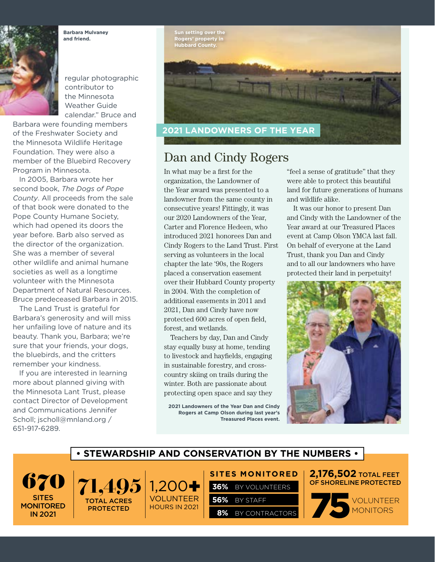**Barbara Mulvaney and friend.**



regular photographic contributor to the Minnesota Weather Guide calendar." Bruce and

Barbara were founding members of the Freshwater Society and the Minnesota Wildlife Heritage Foundation. They were also a member of the Bluebird Recovery Program in Minnesota.

In 2005, Barbara wrote her second book, *The Dogs of Pope County*. All proceeds from the sale of that book were donated to the Pope County Humane Society, which had opened its doors the year before. Barb also served as the director of the organization. She was a member of several other wildlife and animal humane societies as well as a longtime volunteer with the Minnesota Department of Natural Resources. Bruce predeceased Barbara in 2015.

The Land Trust is grateful for Barbara's generosity and will miss her unfailing love of nature and its beauty. Thank you, Barbara; we're sure that your friends, your dogs, the bluebirds, and the critters remember your kindness.

If you are interested in learning more about planned giving with the Minnesota Lant Trust, please contact Director of Development and Communications Jennifer Scholl; jscholl@mnland.org / 651-917-6289.



## Dan and Cindy Rogers

In what may be a first for the organization, the Landowner of the Year award was presented to a landowner from the same county in consecutive years! Fittingly, it was our 2020 Landowners of the Year, Carter and Florence Hedeen, who introduced 2021 honorees Dan and Cindy Rogers to the Land Trust. First serving as volunteers in the local chapter the late '90s, the Rogers placed a conservation easement over their Hubbard County property in 2004. With the completion of additional easements in 2011 and 2021, Dan and Cindy have now protected 600 acres of open field, forest, and wetlands.

Teachers by day, Dan and Cindy stay equally busy at home, tending to livestock and hayfields, engaging in sustainable forestry, and crosscountry skiing on trails during the winter. Both are passionate about protecting open space and say they

**2021 Landowners of the Year Dan and Cindy Rogers at Camp Olson during last year's Treasured Places event.**

"feel a sense of gratitude" that they were able to protect this beautiful land for future generations of humans and wildlife alike.

It was our honor to present Dan and Cindy with the Landowner of the Year award at our Treasured Places event at Camp Olson YMCA last fall. On behalf of everyone at the Land Trust, thank you Dan and Cindy and to all our landowners who have protected their land in perpetuity!



### **• STEWARDSHIP AND CONSERVATION BY THE NUMBERS •**

VOLUNTEER HOURS IN 2021

SITES **MONITORED** IN 2021



**SITES MONITORED** 

**56%** BY STAFF

**36%** BY VOLUNTEERS

 **8%** BY CONTRACTORS